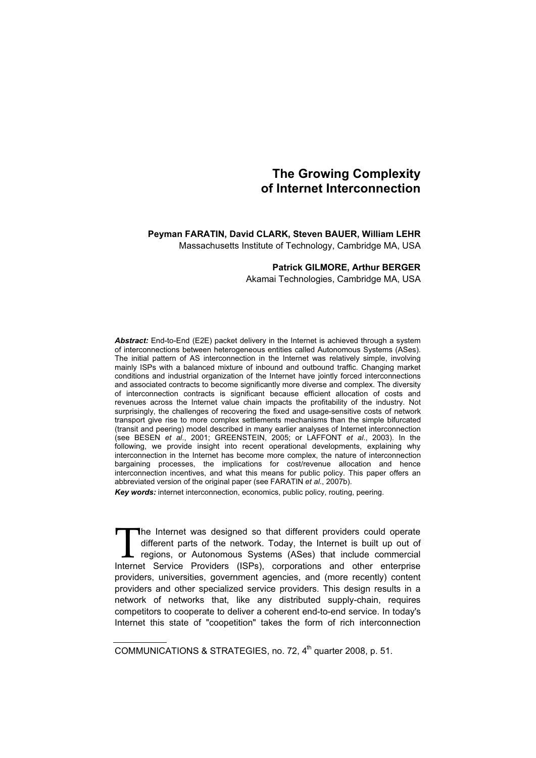# **The Growing Complexity of Internet Interconnection**

# **Peyman FARATIN, David CLARK, Steven BAUER, William LEHR**

Massachusetts Institute of Technology, Cambridge MA, USA

## **Patrick GILMORE, Arthur BERGER**

Akamai Technologies, Cambridge MA, USA

*Abstract:* End-to-End (E2E) packet delivery in the Internet is achieved through a system of interconnections between heterogeneous entities called Autonomous Systems (ASes). The initial pattern of AS interconnection in the Internet was relatively simple, involving mainly ISPs with a balanced mixture of inbound and outbound traffic. Changing market conditions and industrial organization of the Internet have jointly forced interconnections and associated contracts to become significantly more diverse and complex. The diversity of interconnection contracts is significant because efficient allocation of costs and revenues across the Internet value chain impacts the profitability of the industry. Not surprisingly, the challenges of recovering the fixed and usage-sensitive costs of network transport give rise to more complex settlements mechanisms than the simple bifurcated (transit and peering) model described in many earlier analyses of Internet interconnection (see BESEN *et al*., 2001; GREENSTEIN, 2005; or LAFFONT *et al*., 2003). In the following, we provide insight into recent operational developments, explaining why interconnection in the Internet has become more complex, the nature of interconnection bargaining processes, the implications for cost/revenue allocation and hence interconnection incentives, and what this means for public policy. This paper offers an abbreviated version of the original paper (see FARATIN *et al*., 2007b).

*Key words:* internet interconnection, economics, public policy, routing, peering.

The Internet was designed so that different providers could operate different parts of the network. Today, the Internet is built up out of regions, or Autonomous Systems (ASes) that include commercial The Internet was designed so that different providers could operate different parts of the network. Today, the Internet is built up out of regions, or Autonomous Systems (ASes) that include commercial Internet Service Prov providers, universities, government agencies, and (more recently) content providers and other specialized service providers. This design results in a network of networks that, like any distributed supply-chain, requires competitors to cooperate to deliver a coherent end-to-end service. In today's Internet this state of "coopetition" takes the form of rich interconnection

COMMUNICATIONS & STRATEGIES, no. 72,  $4<sup>th</sup>$  quarter 2008, p. 51.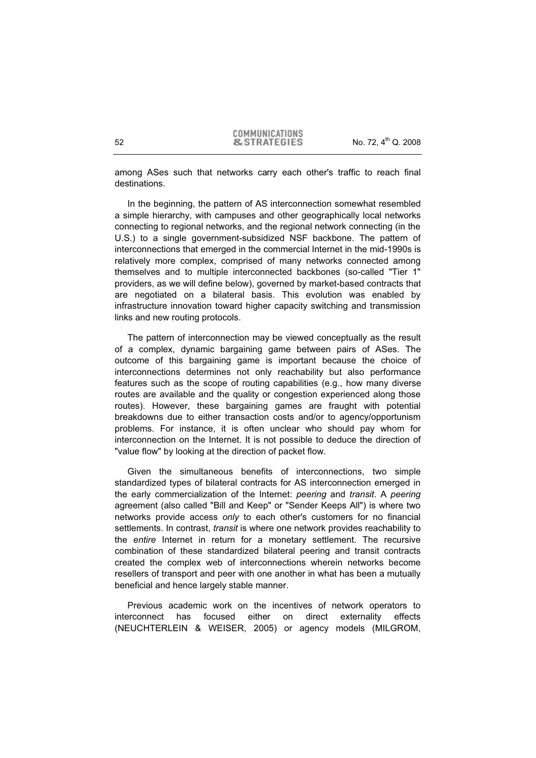among ASes such that networks carry each other's traffic to reach final destinations.

In the beginning, the pattern of AS interconnection somewhat resembled a simple hierarchy, with campuses and other geographically local networks connecting to regional networks, and the regional network connecting (in the U.S.) to a single government-subsidized NSF backbone. The pattern of interconnections that emerged in the commercial Internet in the mid-1990s is relatively more complex, comprised of many networks connected among themselves and to multiple interconnected backbones (so-called "Tier 1" providers, as we will define below), governed by market-based contracts that are negotiated on a bilateral basis. This evolution was enabled by infrastructure innovation toward higher capacity switching and transmission links and new routing protocols.

The pattern of interconnection may be viewed conceptually as the result of a complex, dynamic bargaining game between pairs of ASes. The outcome of this bargaining game is important because the choice of interconnections determines not only reachability but also performance features such as the scope of routing capabilities (e.g., how many diverse routes are available and the quality or congestion experienced along those routes). However, these bargaining games are fraught with potential breakdowns due to either transaction costs and/or to agency/opportunism problems. For instance, it is often unclear who should pay whom for interconnection on the Internet. It is not possible to deduce the direction of "value flow" by looking at the direction of packet flow.

Given the simultaneous benefits of interconnections, two simple standardized types of bilateral contracts for AS interconnection emerged in the early commercialization of the Internet: *peering* and *transit*. A *peering* agreement (also called "Bill and Keep" or "Sender Keeps All") is where two networks provide access *only* to each other's customers for no financial settlements. In contrast, *transit* is where one network provides reachability to the *entire* Internet in return for a monetary settlement. The recursive combination of these standardized bilateral peering and transit contracts created the complex web of interconnections wherein networks become resellers of transport and peer with one another in what has been a mutually beneficial and hence largely stable manner.

Previous academic work on the incentives of network operators to interconnect has focused either on direct externality effects (NEUCHTERLEIN & WEISER, 2005) or agency models (MILGROM,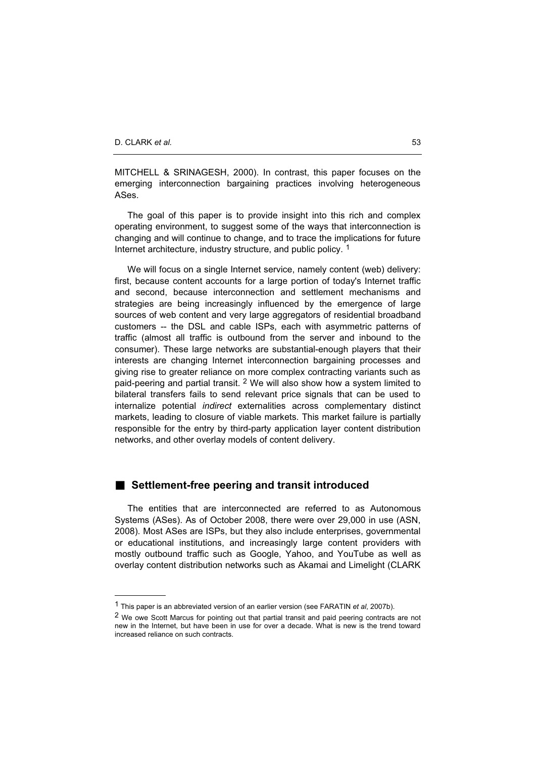MITCHELL & SRINAGESH, 2000). In contrast, this paper focuses on the emerging interconnection bargaining practices involving heterogeneous ASes.

The goal of this paper is to provide insight into this rich and complex operating environment, to suggest some of the ways that interconnection is changing and will continue to change, and to trace the implications for future Internet architecture, industry structure, and public policy, 1

We will focus on a single Internet service, namely content (web) delivery: first, because content accounts for a large portion of today's Internet traffic and second, because interconnection and settlement mechanisms and strategies are being increasingly influenced by the emergence of large sources of web content and very large aggregators of residential broadband customers -- the DSL and cable ISPs, each with asymmetric patterns of traffic (almost all traffic is outbound from the server and inbound to the consumer). These large networks are substantial-enough players that their interests are changing Internet interconnection bargaining processes and giving rise to greater reliance on more complex contracting variants such as paid-peering and partial transit. 2 We will also show how a system limited to bilateral transfers fails to send relevant price signals that can be used to internalize potential *indirect* externalities across complementary distinct markets, leading to closure of viable markets. This market failure is partially responsible for the entry by third-party application layer content distribution networks, and other overlay models of content delivery.

## **Settlement-free peering and transit introduced**

The entities that are interconnected are referred to as Autonomous Systems (ASes). As of October 2008, there were over 29,000 in use (ASN, 2008). Most ASes are ISPs, but they also include enterprises, governmental or educational institutions, and increasingly large content providers with mostly outbound traffic such as Google, Yahoo, and YouTube as well as overlay content distribution networks such as Akamai and Limelight (CLARK

<sup>1</sup> This paper is an abbreviated version of an earlier version (see FARATIN *et al*, 2007b).

<sup>&</sup>lt;sup>2</sup> We owe Scott Marcus for pointing out that partial transit and paid peering contracts are not new in the Internet, but have been in use for over a decade. What is new is the trend toward increased reliance on such contracts.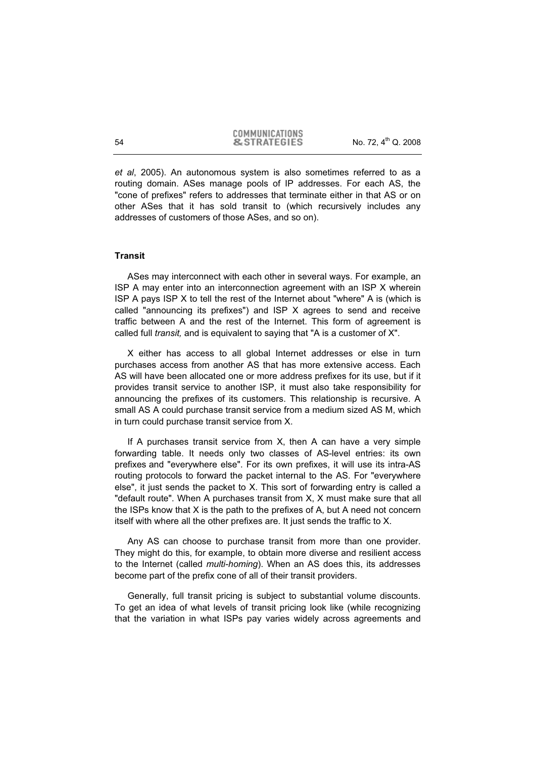*et al*, 2005). An autonomous system is also sometimes referred to as a routing domain. ASes manage pools of IP addresses. For each AS, the "cone of prefixes" refers to addresses that terminate either in that AS or on other ASes that it has sold transit to (which recursively includes any addresses of customers of those ASes, and so on).

## **Transit**

ASes may interconnect with each other in several ways. For example, an ISP A may enter into an interconnection agreement with an ISP X wherein ISP A pays ISP X to tell the rest of the Internet about "where" A is (which is called "announcing its prefixes") and ISP X agrees to send and receive traffic between A and the rest of the Internet. This form of agreement is called full *transit,* and is equivalent to saying that "A is a customer of X".

X either has access to all global Internet addresses or else in turn purchases access from another AS that has more extensive access. Each AS will have been allocated one or more address prefixes for its use, but if it provides transit service to another ISP, it must also take responsibility for announcing the prefixes of its customers. This relationship is recursive. A small AS A could purchase transit service from a medium sized AS M, which in turn could purchase transit service from X.

If A purchases transit service from X, then A can have a very simple forwarding table. It needs only two classes of AS-level entries: its own prefixes and "everywhere else". For its own prefixes, it will use its intra-AS routing protocols to forward the packet internal to the AS. For "everywhere else", it just sends the packet to X. This sort of forwarding entry is called a "default route". When A purchases transit from X, X must make sure that all the ISPs know that X is the path to the prefixes of A, but A need not concern itself with where all the other prefixes are. It just sends the traffic to X.

Any AS can choose to purchase transit from more than one provider. They might do this, for example, to obtain more diverse and resilient access to the Internet (called *multi-homing*). When an AS does this, its addresses become part of the prefix cone of all of their transit providers.

Generally, full transit pricing is subject to substantial volume discounts. To get an idea of what levels of transit pricing look like (while recognizing that the variation in what ISPs pay varies widely across agreements and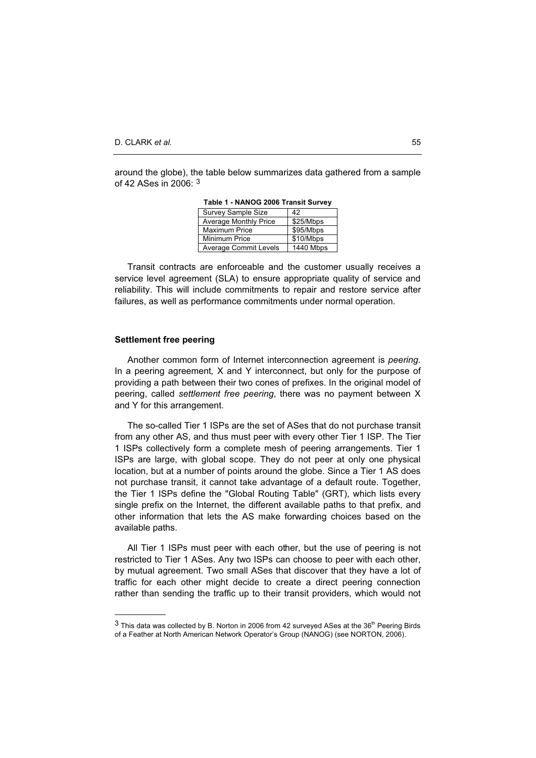around the globe), the table below summarizes data gathered from a sample of 42 ASes in  $2006 \cdot 3$ 

| <b>Survey Sample Size</b>    | 42        |
|------------------------------|-----------|
| <b>Average Monthly Price</b> | \$25/Mbps |
| <b>Maximum Price</b>         | \$95/Mbps |
| Minimum Price                | \$10/Mbps |
| <b>Average Commit Levels</b> | 1440 Mbps |

**Table 1 - NANOG 2006 Transit Survey** 

Transit contracts are enforceable and the customer usually receives a service level agreement (SLA) to ensure appropriate quality of service and reliability. This will include commitments to repair and restore service after failures, as well as performance commitments under normal operation.

#### **Settlement free peering**

Another common form of Internet interconnection agreement is *peering*. In a peering agreement*,* X and Y interconnect, but only for the purpose of providing a path between their two cones of prefixes. In the original model of peering, called *settlement free peering*, there was no payment between X and Y for this arrangement.

The so-called Tier 1 ISPs are the set of ASes that do not purchase transit from any other AS, and thus must peer with every other Tier 1 ISP. The Tier 1 ISPs collectively form a complete mesh of peering arrangements. Tier 1 ISPs are large, with global scope. They do not peer at only one physical location, but at a number of points around the globe. Since a Tier 1 AS does not purchase transit, it cannot take advantage of a default route. Together, the Tier 1 ISPs define the "Global Routing Table" (GRT), which lists every single prefix on the Internet, the different available paths to that prefix, and other information that lets the AS make forwarding choices based on the available paths.

All Tier 1 ISPs must peer with each other, but the use of peering is not restricted to Tier 1 ASes. Any two ISPs can choose to peer with each other, by mutual agreement. Two small ASes that discover that they have a lot of traffic for each other might decide to create a direct peering connection rather than sending the traffic up to their transit providers, which would not

 $3$  This data was collected by B. Norton in 2006 from 42 surveyed ASes at the  $36<sup>th</sup>$  Peering Birds of a Feather at North American Network Operator's Group (NANOG) (see NORTON, 2006).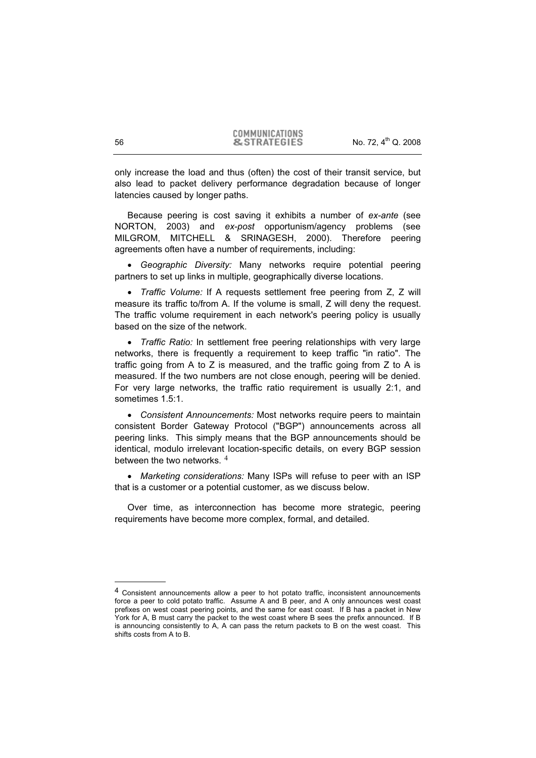only increase the load and thus (often) the cost of their transit service, but also lead to packet delivery performance degradation because of longer latencies caused by longer paths.

Because peering is cost saving it exhibits a number of *ex-ante* (see NORTON, 2003) and *ex-post* opportunism/agency problems (see MILGROM, MITCHELL & SRINAGESH, 2000). Therefore peering agreements often have a number of requirements, including:

x *Geographic Diversity:* Many networks require potential peering partners to set up links in multiple, geographically diverse locations.

x *Traffic Volume:* If A requests settlement free peering from Z, Z will measure its traffic to/from A. If the volume is small, Z will deny the request. The traffic volume requirement in each network's peering policy is usually based on the size of the network.

• *Traffic Ratio:* In settlement free peering relationships with very large networks, there is frequently a requirement to keep traffic "in ratio". The traffic going from A to Z is measured, and the traffic going from Z to A is measured. If the two numbers are not close enough, peering will be denied. For very large networks, the traffic ratio requirement is usually 2:1, and sometimes 1.5:1

x *Consistent Announcements:* Most networks require peers to maintain consistent Border Gateway Protocol ("BGP") announcements across all peering links. This simply means that the BGP announcements should be identical, modulo irrelevant location-specific details, on every BGP session between the two networks. <sup>4</sup>

• Marketing considerations: Many ISPs will refuse to peer with an ISP that is a customer or a potential customer, as we discuss below.

Over time, as interconnection has become more strategic, peering requirements have become more complex, formal, and detailed.

<sup>&</sup>lt;sup>4</sup> Consistent announcements allow a peer to hot potato traffic, inconsistent announcements force a peer to cold potato traffic. Assume A and B peer, and A only announces west coast prefixes on west coast peering points, and the same for east coast. If B has a packet in New York for A, B must carry the packet to the west coast where B sees the prefix announced. If B is announcing consistently to A, A can pass the return packets to B on the west coast. This shifts costs from A to B.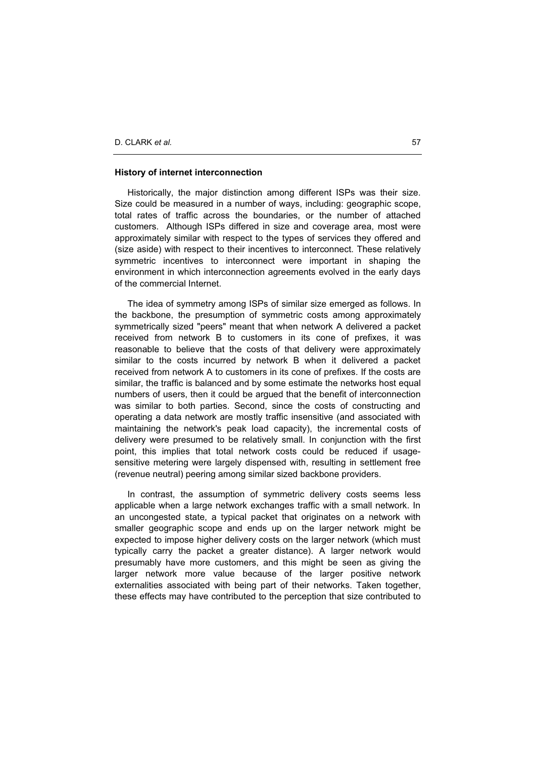#### **History of internet interconnection**

Historically, the major distinction among different ISPs was their size. Size could be measured in a number of ways, including: geographic scope, total rates of traffic across the boundaries, or the number of attached customers. Although ISPs differed in size and coverage area, most were approximately similar with respect to the types of services they offered and (size aside) with respect to their incentives to interconnect. These relatively symmetric incentives to interconnect were important in shaping the environment in which interconnection agreements evolved in the early days of the commercial Internet.

The idea of symmetry among ISPs of similar size emerged as follows. In the backbone, the presumption of symmetric costs among approximately symmetrically sized "peers" meant that when network A delivered a packet received from network B to customers in its cone of prefixes, it was reasonable to believe that the costs of that delivery were approximately similar to the costs incurred by network B when it delivered a packet received from network A to customers in its cone of prefixes. If the costs are similar, the traffic is balanced and by some estimate the networks host equal numbers of users, then it could be argued that the benefit of interconnection was similar to both parties. Second, since the costs of constructing and operating a data network are mostly traffic insensitive (and associated with maintaining the network's peak load capacity), the incremental costs of delivery were presumed to be relatively small. In conjunction with the first point, this implies that total network costs could be reduced if usagesensitive metering were largely dispensed with, resulting in settlement free (revenue neutral) peering among similar sized backbone providers.

In contrast, the assumption of symmetric delivery costs seems less applicable when a large network exchanges traffic with a small network. In an uncongested state, a typical packet that originates on a network with smaller geographic scope and ends up on the larger network might be expected to impose higher delivery costs on the larger network (which must typically carry the packet a greater distance). A larger network would presumably have more customers, and this might be seen as giving the larger network more value because of the larger positive network externalities associated with being part of their networks. Taken together, these effects may have contributed to the perception that size contributed to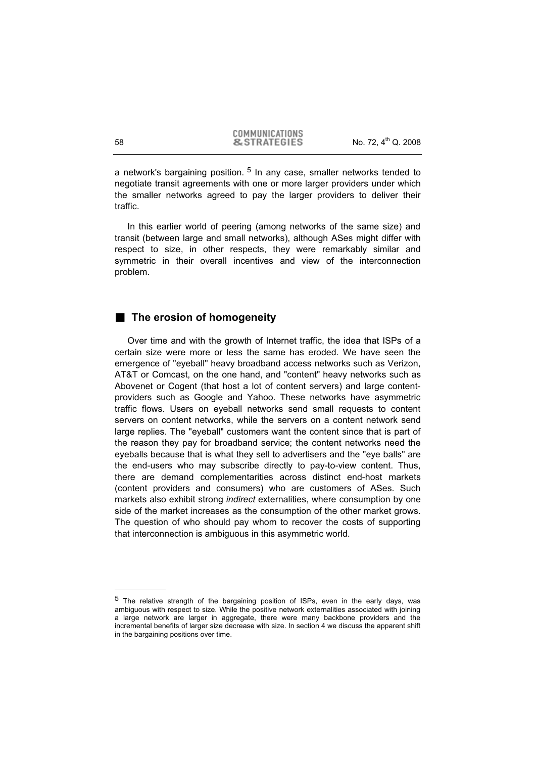a network's bargaining position.  $5$  In any case, smaller networks tended to negotiate transit agreements with one or more larger providers under which the smaller networks agreed to pay the larger providers to deliver their traffic.

In this earlier world of peering (among networks of the same size) and transit (between large and small networks), although ASes might differ with respect to size, in other respects, they were remarkably similar and symmetric in their overall incentives and view of the interconnection problem.

## **The erosion of homogeneity**

Over time and with the growth of Internet traffic, the idea that ISPs of a certain size were more or less the same has eroded. We have seen the emergence of "eyeball" heavy broadband access networks such as Verizon, AT&T or Comcast, on the one hand, and "content" heavy networks such as Abovenet or Cogent (that host a lot of content servers) and large contentproviders such as Google and Yahoo. These networks have asymmetric traffic flows. Users on eyeball networks send small requests to content servers on content networks, while the servers on a content network send large replies. The "eyeball" customers want the content since that is part of the reason they pay for broadband service; the content networks need the eyeballs because that is what they sell to advertisers and the "eye balls" are the end-users who may subscribe directly to pay-to-view content. Thus, there are demand complementarities across distinct end-host markets (content providers and consumers) who are customers of ASes. Such markets also exhibit strong *indirect* externalities, where consumption by one side of the market increases as the consumption of the other market grows. The question of who should pay whom to recover the costs of supporting that interconnection is ambiguous in this asymmetric world.

<sup>5</sup> The relative strength of the bargaining position of ISPs, even in the early days, was ambiguous with respect to size. While the positive network externalities associated with joining a large network are larger in aggregate, there were many backbone providers and the incremental benefits of larger size decrease with size. In section 4 we discuss the apparent shift in the bargaining positions over time.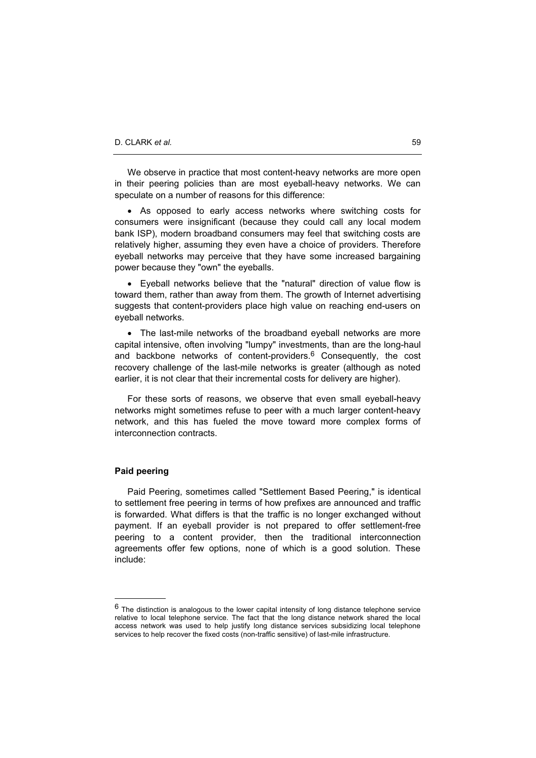We observe in practice that most content-heavy networks are more open in their peering policies than are most eyeball-heavy networks. We can speculate on a number of reasons for this difference:

• As opposed to early access networks where switching costs for consumers were insignificant (because they could call any local modem bank ISP), modern broadband consumers may feel that switching costs are relatively higher, assuming they even have a choice of providers. Therefore eyeball networks may perceive that they have some increased bargaining power because they "own" the eyeballs.

• Eyeball networks believe that the "natural" direction of value flow is toward them, rather than away from them. The growth of Internet advertising suggests that content-providers place high value on reaching end-users on eyeball networks.

• The last-mile networks of the broadband eyeball networks are more capital intensive, often involving "lumpy" investments, than are the long-haul and backbone networks of content-providers.<sup>6</sup> Consequently, the cost recovery challenge of the last-mile networks is greater (although as noted earlier, it is not clear that their incremental costs for delivery are higher).

For these sorts of reasons, we observe that even small eyeball-heavy networks might sometimes refuse to peer with a much larger content-heavy network, and this has fueled the move toward more complex forms of interconnection contracts.

### **Paid peering**

Paid Peering, sometimes called "Settlement Based Peering," is identical to settlement free peering in terms of how prefixes are announced and traffic is forwarded. What differs is that the traffic is no longer exchanged without payment. If an eyeball provider is not prepared to offer settlement-free peering to a content provider, then the traditional interconnection agreements offer few options, none of which is a good solution. These include:

 $6$  The distinction is analogous to the lower capital intensity of long distance telephone service relative to local telephone service. The fact that the long distance network shared the local access network was used to help justify long distance services subsidizing local telephone services to help recover the fixed costs (non-traffic sensitive) of last-mile infrastructure.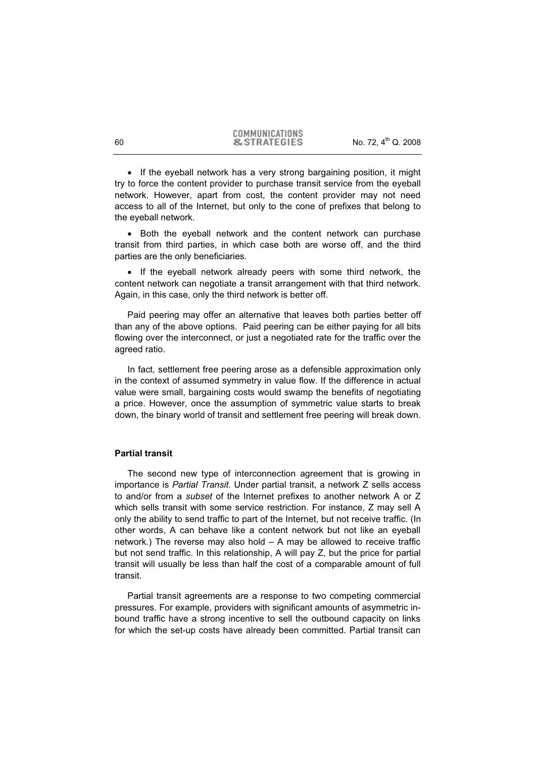• If the eyeball network has a very strong bargaining position, it might try to force the content provider to purchase transit service from the eyeball network. However, apart from cost, the content provider may not need access to all of the Internet, but only to the cone of prefixes that belong to the eyeball network.

• Both the eyeball network and the content network can purchase transit from third parties, in which case both are worse off, and the third parties are the only beneficiaries.

• If the eyeball network already peers with some third network, the content network can negotiate a transit arrangement with that third network. Again, in this case, only the third network is better off.

Paid peering may offer an alternative that leaves both parties better off than any of the above options. Paid peering can be either paying for all bits flowing over the interconnect, or just a negotiated rate for the traffic over the agreed ratio.

In fact, settlement free peering arose as a defensible approximation only in the context of assumed symmetry in value flow. If the difference in actual value were small, bargaining costs would swamp the benefits of negotiating a price. However, once the assumption of symmetric value starts to break down, the binary world of transit and settlement free peering will break down.

## **Partial transit**

The second new type of interconnection agreement that is growing in importance is *Partial Transit*. Under partial transit, a network Z sells access to and/or from a *subset* of the Internet prefixes to another network A or Z which sells transit with some service restriction. For instance, Z may sell A only the ability to send traffic to part of the Internet, but not receive traffic. (In other words, A can behave like a content network but not like an eyeball network.) The reverse may also hold – A may be allowed to receive traffic but not send traffic. In this relationship, A will pay Z, but the price for partial transit will usually be less than half the cost of a comparable amount of full transit.

Partial transit agreements are a response to two competing commercial pressures. For example, providers with significant amounts of asymmetric inbound traffic have a strong incentive to sell the outbound capacity on links for which the set-up costs have already been committed. Partial transit can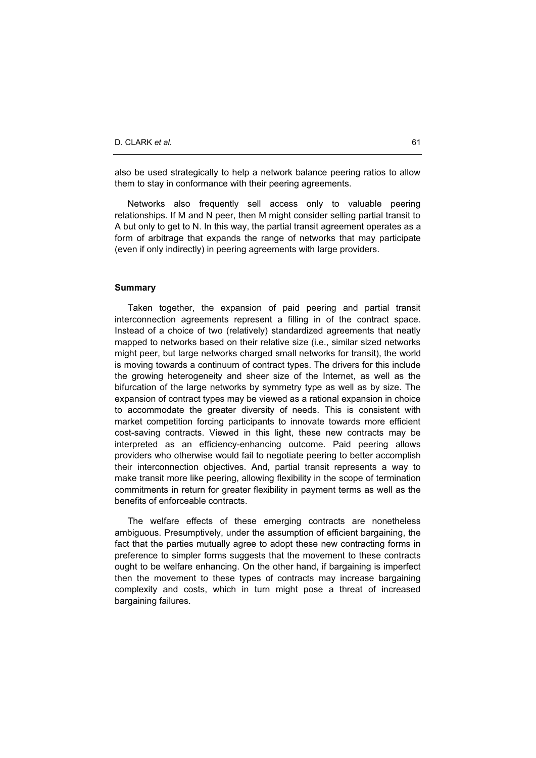also be used strategically to help a network balance peering ratios to allow them to stay in conformance with their peering agreements.

Networks also frequently sell access only to valuable peering relationships. If M and N peer, then M might consider selling partial transit to A but only to get to N. In this way, the partial transit agreement operates as a form of arbitrage that expands the range of networks that may participate (even if only indirectly) in peering agreements with large providers.

### **Summary**

Taken together, the expansion of paid peering and partial transit interconnection agreements represent a filling in of the contract space. Instead of a choice of two (relatively) standardized agreements that neatly mapped to networks based on their relative size (i.e., similar sized networks might peer, but large networks charged small networks for transit), the world is moving towards a continuum of contract types. The drivers for this include the growing heterogeneity and sheer size of the Internet, as well as the bifurcation of the large networks by symmetry type as well as by size. The expansion of contract types may be viewed as a rational expansion in choice to accommodate the greater diversity of needs. This is consistent with market competition forcing participants to innovate towards more efficient cost-saving contracts. Viewed in this light, these new contracts may be interpreted as an efficiency-enhancing outcome. Paid peering allows providers who otherwise would fail to negotiate peering to better accomplish their interconnection objectives. And, partial transit represents a way to make transit more like peering, allowing flexibility in the scope of termination commitments in return for greater flexibility in payment terms as well as the benefits of enforceable contracts.

The welfare effects of these emerging contracts are nonetheless ambiguous. Presumptively, under the assumption of efficient bargaining, the fact that the parties mutually agree to adopt these new contracting forms in preference to simpler forms suggests that the movement to these contracts ought to be welfare enhancing. On the other hand, if bargaining is imperfect then the movement to these types of contracts may increase bargaining complexity and costs, which in turn might pose a threat of increased bargaining failures.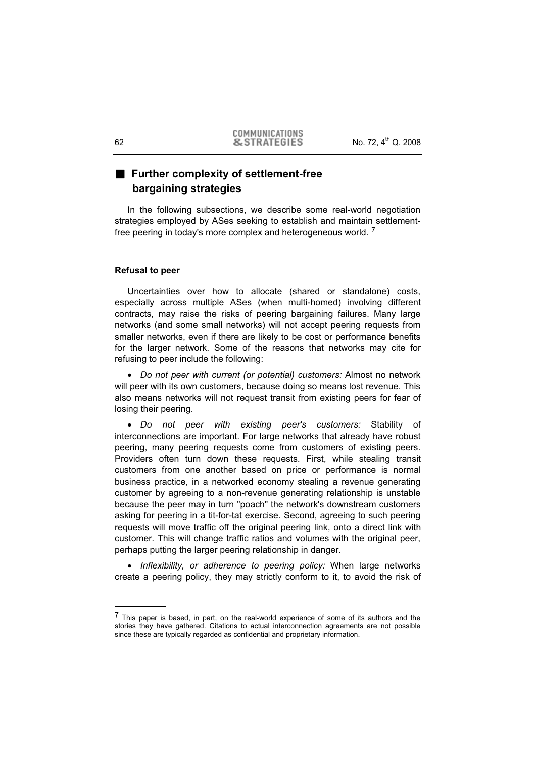# **Further complexity of settlement-free bargaining strategies**

In the following subsections, we describe some real-world negotiation strategies employed by ASes seeking to establish and maintain settlementfree peering in today's more complex and heterogeneous world. <sup>7</sup>

## **Refusal to peer**

Uncertainties over how to allocate (shared or standalone) costs, especially across multiple ASes (when multi-homed) involving different contracts, may raise the risks of peering bargaining failures. Many large networks (and some small networks) will not accept peering requests from smaller networks, even if there are likely to be cost or performance benefits for the larger network. Some of the reasons that networks may cite for refusing to peer include the following:

x *Do not peer with current (or potential) customers:* Almost no network will peer with its own customers, because doing so means lost revenue. This also means networks will not request transit from existing peers for fear of losing their peering.

x *Do not peer with existing peer's customers:* Stability of interconnections are important. For large networks that already have robust peering, many peering requests come from customers of existing peers. Providers often turn down these requests. First, while stealing transit customers from one another based on price or performance is normal business practice, in a networked economy stealing a revenue generating customer by agreeing to a non-revenue generating relationship is unstable because the peer may in turn "poach" the network's downstream customers asking for peering in a tit-for-tat exercise. Second, agreeing to such peering requests will move traffic off the original peering link, onto a direct link with customer. This will change traffic ratios and volumes with the original peer, perhaps putting the larger peering relationship in danger.

• *Inflexibility, or adherence to peering policy:* When large networks create a peering policy, they may strictly conform to it, to avoid the risk of

<sup>7</sup> This paper is based, in part, on the real-world experience of some of its authors and the stories they have gathered. Citations to actual interconnection agreements are not possible since these are typically regarded as confidential and proprietary information.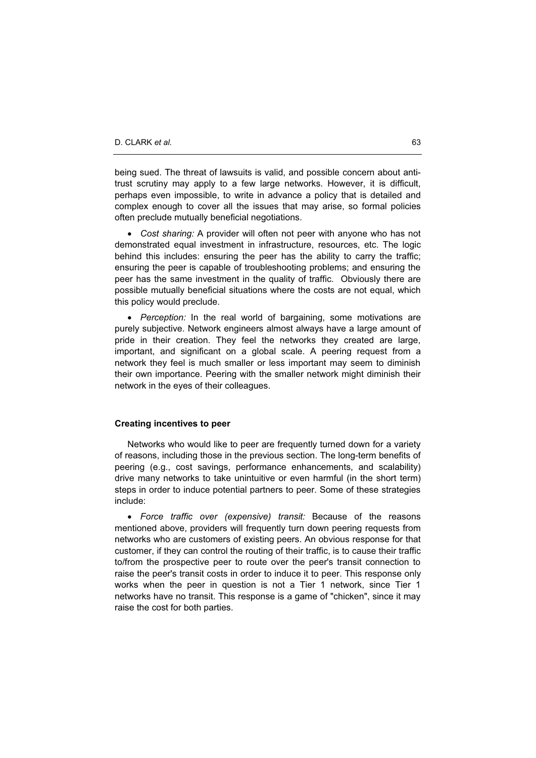being sued. The threat of lawsuits is valid, and possible concern about antitrust scrutiny may apply to a few large networks. However, it is difficult, perhaps even impossible, to write in advance a policy that is detailed and complex enough to cover all the issues that may arise, so formal policies often preclude mutually beneficial negotiations.

x *Cost sharing:* A provider will often not peer with anyone who has not demonstrated equal investment in infrastructure, resources, etc. The logic behind this includes: ensuring the peer has the ability to carry the traffic; ensuring the peer is capable of troubleshooting problems; and ensuring the peer has the same investment in the quality of traffic. Obviously there are possible mutually beneficial situations where the costs are not equal, which this policy would preclude.

x *Perception:* In the real world of bargaining, some motivations are purely subjective. Network engineers almost always have a large amount of pride in their creation. They feel the networks they created are large, important, and significant on a global scale. A peering request from a network they feel is much smaller or less important may seem to diminish their own importance. Peering with the smaller network might diminish their network in the eyes of their colleagues.

## **Creating incentives to peer**

Networks who would like to peer are frequently turned down for a variety of reasons, including those in the previous section. The long-term benefits of peering (e.g., cost savings, performance enhancements, and scalability) drive many networks to take unintuitive or even harmful (in the short term) steps in order to induce potential partners to peer. Some of these strategies include:

x *Force traffic over (expensive) transit:* Because of the reasons mentioned above, providers will frequently turn down peering requests from networks who are customers of existing peers. An obvious response for that customer, if they can control the routing of their traffic, is to cause their traffic to/from the prospective peer to route over the peer's transit connection to raise the peer's transit costs in order to induce it to peer. This response only works when the peer in question is not a Tier 1 network, since Tier 1 networks have no transit. This response is a game of "chicken", since it may raise the cost for both parties.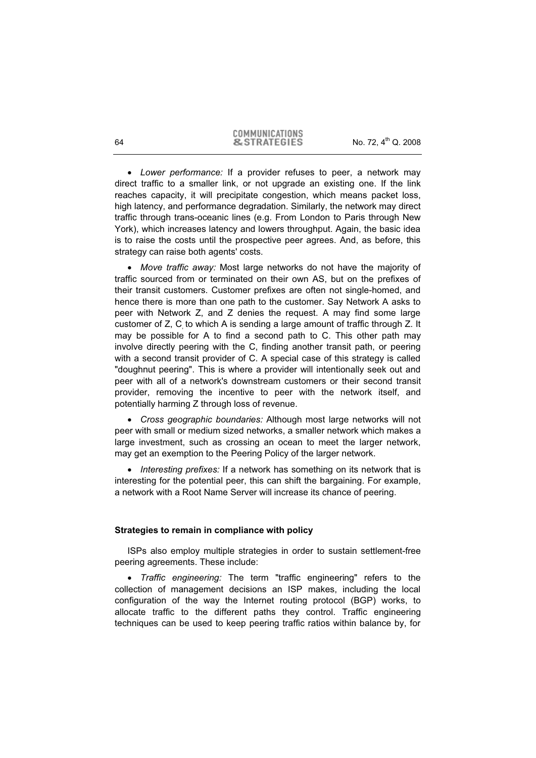x *Lower performance:* If a provider refuses to peer, a network may direct traffic to a smaller link, or not upgrade an existing one. If the link reaches capacity, it will precipitate congestion, which means packet loss, high latency, and performance degradation. Similarly, the network may direct traffic through trans-oceanic lines (e.g. From London to Paris through New York), which increases latency and lowers throughput. Again, the basic idea is to raise the costs until the prospective peer agrees. And, as before, this strategy can raise both agents' costs.

x *Move traffic away:* Most large networks do not have the majority of traffic sourced from or terminated on their own AS, but on the prefixes of their transit customers. Customer prefixes are often not single-homed, and hence there is more than one path to the customer. Say Network A asks to peer with Network Z, and Z denies the request. A may find some large customer of Z, C to which A is sending a large amount of traffic through Z. It may be possible for A to find a second path to C. This other path may involve directly peering with the C, finding another transit path, or peering with a second transit provider of C. A special case of this strategy is called "doughnut peering". This is where a provider will intentionally seek out and peer with all of a network's downstream customers or their second transit provider, removing the incentive to peer with the network itself, and potentially harming Z through loss of revenue.

x *Cross geographic boundaries:* Although most large networks will not peer with small or medium sized networks, a smaller network which makes a large investment, such as crossing an ocean to meet the larger network, may get an exemption to the Peering Policy of the larger network.

• *Interesting prefixes:* If a network has something on its network that is interesting for the potential peer, this can shift the bargaining. For example, a network with a Root Name Server will increase its chance of peering.

## **Strategies to remain in compliance with policy**

ISPs also employ multiple strategies in order to sustain settlement-free peering agreements. These include:

x *Traffic engineering:* The term "traffic engineering" refers to the collection of management decisions an ISP makes, including the local configuration of the way the Internet routing protocol (BGP) works, to allocate traffic to the different paths they control. Traffic engineering techniques can be used to keep peering traffic ratios within balance by, for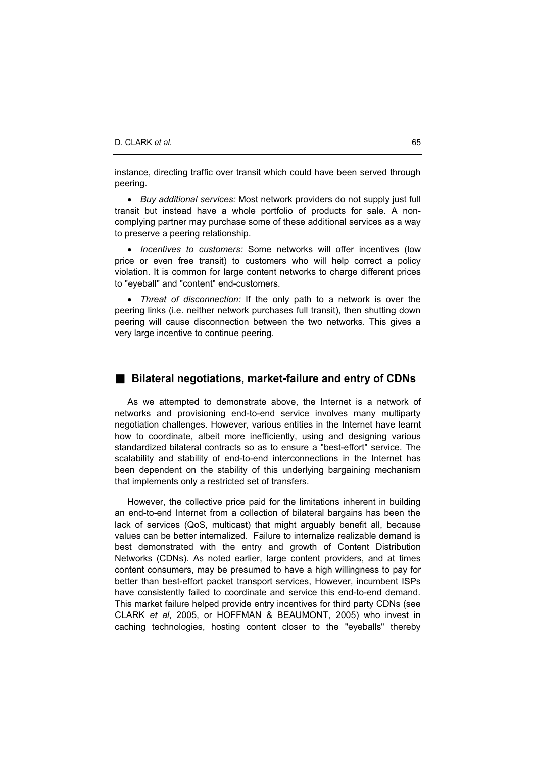instance, directing traffic over transit which could have been served through peering.

x *Buy additional services:* Most network providers do not supply just full transit but instead have a whole portfolio of products for sale. A noncomplying partner may purchase some of these additional services as a way to preserve a peering relationship.

x *Incentives to customers:* Some networks will offer incentives (low price or even free transit) to customers who will help correct a policy violation. It is common for large content networks to charge different prices to "eyeball" and "content" end-customers.

x *Threat of disconnection:* If the only path to a network is over the peering links (i.e. neither network purchases full transit), then shutting down peering will cause disconnection between the two networks. This gives a very large incentive to continue peering.

## **Bilateral negotiations, market-failure and entry of CDNs**

As we attempted to demonstrate above, the Internet is a network of networks and provisioning end-to-end service involves many multiparty negotiation challenges. However, various entities in the Internet have learnt how to coordinate, albeit more inefficiently, using and designing various standardized bilateral contracts so as to ensure a "best-effort" service. The scalability and stability of end-to-end interconnections in the Internet has been dependent on the stability of this underlying bargaining mechanism that implements only a restricted set of transfers.

However, the collective price paid for the limitations inherent in building an end-to-end Internet from a collection of bilateral bargains has been the lack of services (QoS, multicast) that might arguably benefit all, because values can be better internalized. Failure to internalize realizable demand is best demonstrated with the entry and growth of Content Distribution Networks (CDNs). As noted earlier, large content providers, and at times content consumers, may be presumed to have a high willingness to pay for better than best-effort packet transport services, However, incumbent ISPs have consistently failed to coordinate and service this end-to-end demand. This market failure helped provide entry incentives for third party CDNs (see CLARK *et al*, 2005, or HOFFMAN & BEAUMONT, 2005) who invest in caching technologies, hosting content closer to the "eyeballs" thereby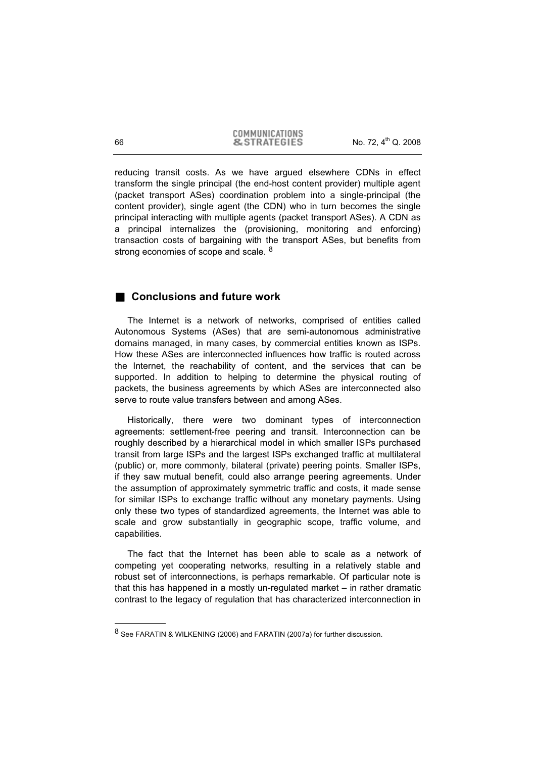COMMUNICATIONS 66 **8. STRATEGIES** No. 72, 4<sup>th</sup> Q. 2008

reducing transit costs. As we have argued elsewhere CDNs in effect transform the single principal (the end-host content provider) multiple agent (packet transport ASes) coordination problem into a single-principal (the content provider), single agent (the CDN) who in turn becomes the single principal interacting with multiple agents (packet transport ASes). A CDN as a principal internalizes the (provisioning, monitoring and enforcing) transaction costs of bargaining with the transport ASes, but benefits from strong economies of scope and scale. <sup>8</sup>

# ■ Conclusions and future work

The Internet is a network of networks, comprised of entities called Autonomous Systems (ASes) that are semi-autonomous administrative domains managed, in many cases, by commercial entities known as ISPs. How these ASes are interconnected influences how traffic is routed across the Internet, the reachability of content, and the services that can be supported. In addition to helping to determine the physical routing of packets, the business agreements by which ASes are interconnected also serve to route value transfers between and among ASes.

Historically, there were two dominant types of interconnection agreements: settlement-free peering and transit. Interconnection can be roughly described by a hierarchical model in which smaller ISPs purchased transit from large ISPs and the largest ISPs exchanged traffic at multilateral (public) or, more commonly, bilateral (private) peering points. Smaller ISPs, if they saw mutual benefit, could also arrange peering agreements. Under the assumption of approximately symmetric traffic and costs, it made sense for similar ISPs to exchange traffic without any monetary payments. Using only these two types of standardized agreements, the Internet was able to scale and grow substantially in geographic scope, traffic volume, and capabilities.

The fact that the Internet has been able to scale as a network of competing yet cooperating networks, resulting in a relatively stable and robust set of interconnections, is perhaps remarkable. Of particular note is that this has happened in a mostly un-regulated market – in rather dramatic contrast to the legacy of regulation that has characterized interconnection in

<sup>&</sup>lt;sup>8</sup> See FARATIN & WILKENING (2006) and FARATIN (2007a) for further discussion.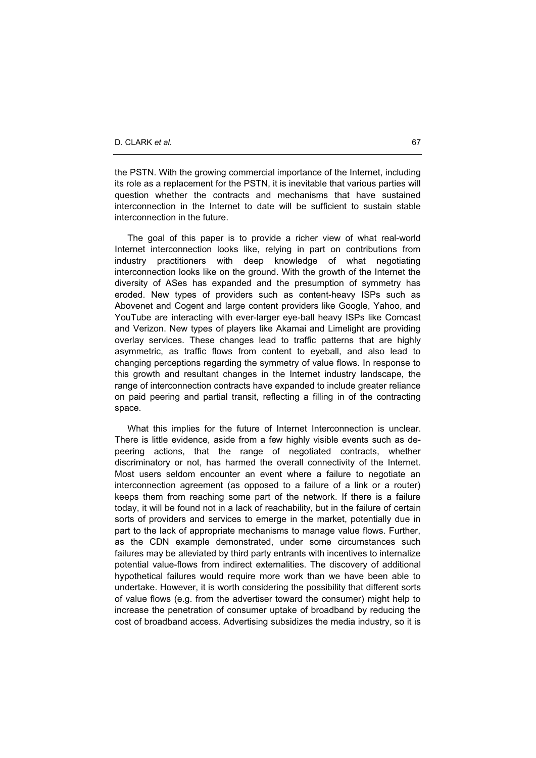the PSTN. With the growing commercial importance of the Internet, including its role as a replacement for the PSTN, it is inevitable that various parties will question whether the contracts and mechanisms that have sustained interconnection in the Internet to date will be sufficient to sustain stable interconnection in the future.

The goal of this paper is to provide a richer view of what real-world Internet interconnection looks like, relying in part on contributions from industry practitioners with deep knowledge of what negotiating interconnection looks like on the ground. With the growth of the Internet the diversity of ASes has expanded and the presumption of symmetry has eroded. New types of providers such as content-heavy ISPs such as Abovenet and Cogent and large content providers like Google, Yahoo, and YouTube are interacting with ever-larger eye-ball heavy ISPs like Comcast and Verizon. New types of players like Akamai and Limelight are providing overlay services. These changes lead to traffic patterns that are highly asymmetric, as traffic flows from content to eyeball, and also lead to changing perceptions regarding the symmetry of value flows. In response to this growth and resultant changes in the Internet industry landscape, the range of interconnection contracts have expanded to include greater reliance on paid peering and partial transit, reflecting a filling in of the contracting space.

What this implies for the future of Internet Interconnection is unclear. There is little evidence, aside from a few highly visible events such as depeering actions, that the range of negotiated contracts, whether discriminatory or not, has harmed the overall connectivity of the Internet. Most users seldom encounter an event where a failure to negotiate an interconnection agreement (as opposed to a failure of a link or a router) keeps them from reaching some part of the network. If there is a failure today, it will be found not in a lack of reachability, but in the failure of certain sorts of providers and services to emerge in the market, potentially due in part to the lack of appropriate mechanisms to manage value flows. Further, as the CDN example demonstrated, under some circumstances such failures may be alleviated by third party entrants with incentives to internalize potential value-flows from indirect externalities. The discovery of additional hypothetical failures would require more work than we have been able to undertake. However, it is worth considering the possibility that different sorts of value flows (e.g. from the advertiser toward the consumer) might help to increase the penetration of consumer uptake of broadband by reducing the cost of broadband access. Advertising subsidizes the media industry, so it is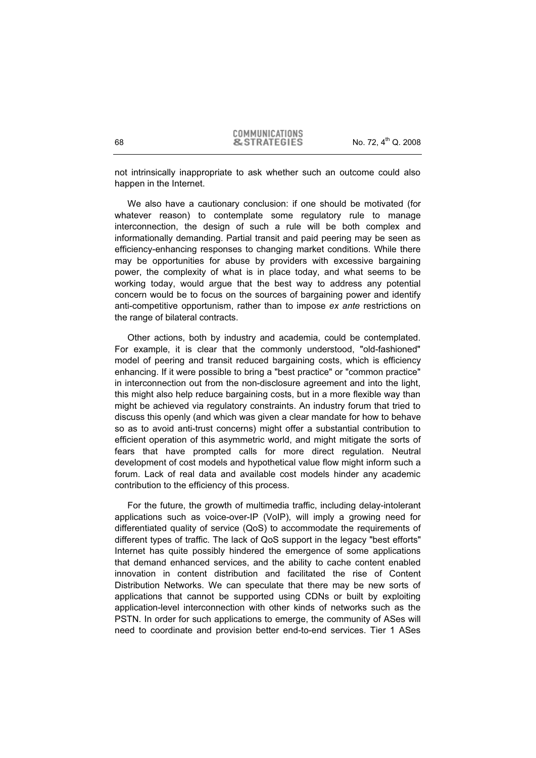not intrinsically inappropriate to ask whether such an outcome could also happen in the Internet.

We also have a cautionary conclusion: if one should be motivated (for whatever reason) to contemplate some regulatory rule to manage interconnection, the design of such a rule will be both complex and informationally demanding. Partial transit and paid peering may be seen as efficiency-enhancing responses to changing market conditions. While there may be opportunities for abuse by providers with excessive bargaining power, the complexity of what is in place today, and what seems to be working today, would argue that the best way to address any potential concern would be to focus on the sources of bargaining power and identify anti-competitive opportunism, rather than to impose *ex ante* restrictions on the range of bilateral contracts.

Other actions, both by industry and academia, could be contemplated. For example, it is clear that the commonly understood, "old-fashioned" model of peering and transit reduced bargaining costs, which is efficiency enhancing. If it were possible to bring a "best practice" or "common practice" in interconnection out from the non-disclosure agreement and into the light, this might also help reduce bargaining costs, but in a more flexible way than might be achieved via regulatory constraints. An industry forum that tried to discuss this openly (and which was given a clear mandate for how to behave so as to avoid anti-trust concerns) might offer a substantial contribution to efficient operation of this asymmetric world, and might mitigate the sorts of fears that have prompted calls for more direct regulation. Neutral development of cost models and hypothetical value flow might inform such a forum. Lack of real data and available cost models hinder any academic contribution to the efficiency of this process.

For the future, the growth of multimedia traffic, including delay-intolerant applications such as voice-over-IP (VoIP), will imply a growing need for differentiated quality of service (QoS) to accommodate the requirements of different types of traffic. The lack of QoS support in the legacy "best efforts" Internet has quite possibly hindered the emergence of some applications that demand enhanced services, and the ability to cache content enabled innovation in content distribution and facilitated the rise of Content Distribution Networks. We can speculate that there may be new sorts of applications that cannot be supported using CDNs or built by exploiting application-level interconnection with other kinds of networks such as the PSTN. In order for such applications to emerge, the community of ASes will need to coordinate and provision better end-to-end services. Tier 1 ASes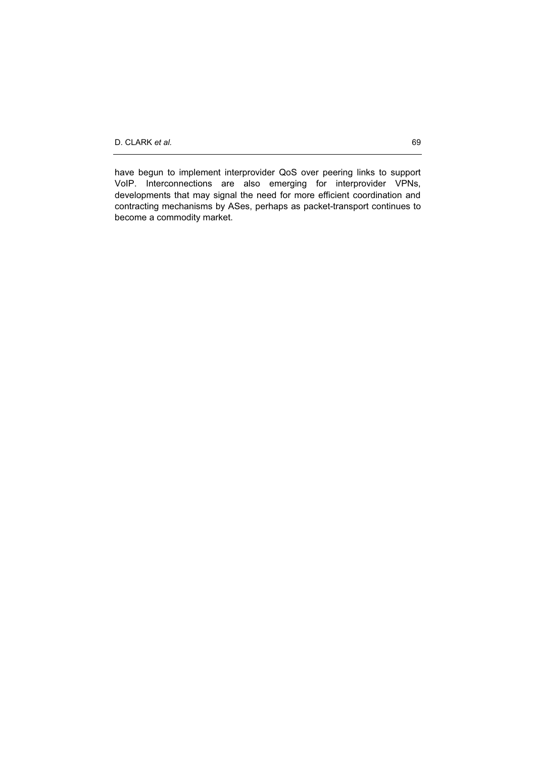have begun to implement interprovider QoS over peering links to support VoIP. Interconnections are also emerging for interprovider VPNs, developments that may signal the need for more efficient coordination and contracting mechanisms by ASes, perhaps as packet-transport continues to become a commodity market.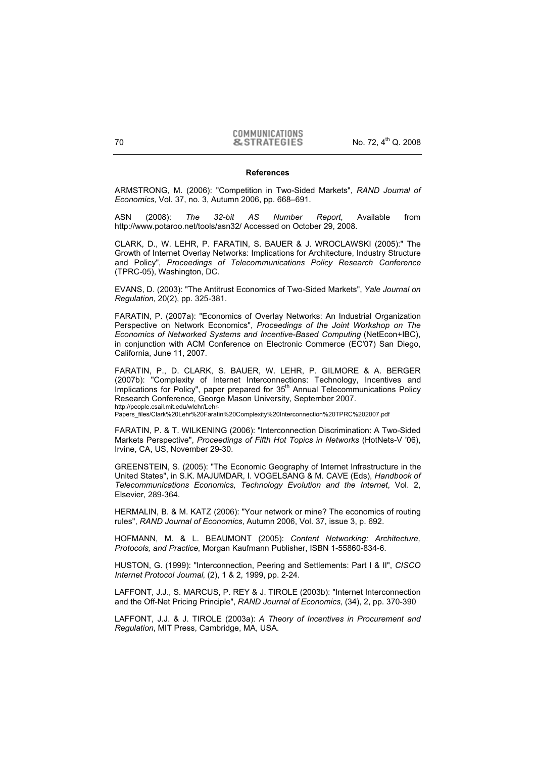#### **References**

ARMSTRONG, M. (2006): "Competition in Two-Sided Markets", *RAND Journal of Economics*, Vol. 37, no. 3, Autumn 2006, pp. 668–691.

ASN (2008): *The 32-bit AS Number Report*, Available from http://www.potaroo.net/tools/asn32/ Accessed on October 29, 2008.

CLARK, D., W. LEHR, P. FARATIN, S. BAUER & J. WROCLAWSKI (2005):" The Growth of Internet Overlay Networks: Implications for Architecture, Industry Structure and Policy", *Proceedings of Telecommunications Policy Research Conference* (TPRC-05), Washington, DC.

EVANS, D. (2003): "The Antitrust Economics of Two-Sided Markets", *Yale Journal on Regulation*, 20(2), pp. 325-381.

FARATIN, P. (2007a): "Economics of Overlay Networks: An Industrial Organization Perspective on Network Economics", *Proceedings of the Joint Workshop on The Economics of Networked Systems and Incentive-Based Computing* (NetEcon+IBC), in conjunction with ACM Conference on Electronic Commerce (EC'07) San Diego, California, June 11, 2007.

FARATIN, P., D. CLARK, S. BAUER, W. LEHR, P. GILMORE & A. BERGER (2007b): "Complexity of Internet Interconnections: Technology, Incentives and Implications for Policy", paper prepared for 35<sup>th</sup> Annual Telecommunications Policy Research Conference, George Mason University, September 2007. http://people.csail.mit.edu/wlehr/Lehr-

Papers\_files/Clark%20Lehr%20Faratin%20Complexity%20Interconnection%20TPRC%202007.pdf

FARATIN, P. & T. WILKENING (2006): "Interconnection Discrimination: A Two-Sided Markets Perspective", *Proceedings of Fifth Hot Topics in Networks* (HotNets-V '06), Irvine, CA, US, November 29-30.

GREENSTEIN, S. (2005): "The Economic Geography of Internet Infrastructure in the United States", in S.K. MAJUMDAR, I. VOGELSANG & M. CAVE (Eds), *Handbook of Telecommunications Economics, Technology Evolution and the Internet*, Vol. 2, Elsevier, 289-364.

HERMALIN, B. & M. KATZ (2006): "Your network or mine? The economics of routing rules", *RAND Journal of Economics*, Autumn 2006, Vol. 37, issue 3, p. 692.

HOFMANN, M. & L. BEAUMONT (2005): *Content Networking: Architecture, Protocols, and Practice*, Morgan Kaufmann Publisher, ISBN 1-55860-834-6.

HUSTON, G. (1999): "Interconnection, Peering and Settlements: Part I & II", *CISCO Internet Protocol Journal*, (2), 1 & 2, 1999, pp. 2-24.

LAFFONT, J.J., S. MARCUS, P. REY & J. TIROLE (2003b): "Internet Interconnection and the Off-Net Pricing Principle", *RAND Journal of Economics*, (34), 2, pp. 370-390

LAFFONT, J.J. & J. TIROLE (2003a): *A Theory of Incentives in Procurement and Regulation*, MIT Press, Cambridge, MA, USA.